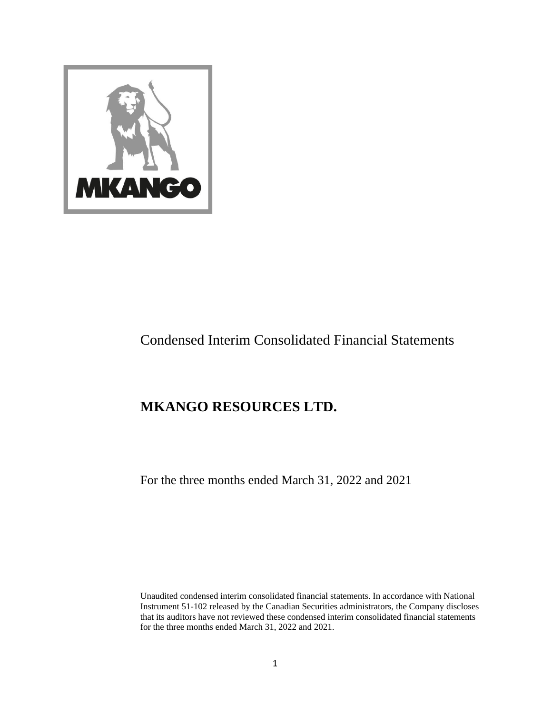

# Condensed Interim Consolidated Financial Statements

# **MKANGO RESOURCES LTD.**

For the three months ended March 31, 2022 and 2021

Unaudited condensed interim consolidated financial statements. In accordance with National Instrument 51-102 released by the Canadian Securities administrators, the Company discloses that its auditors have not reviewed these condensed interim consolidated financial statements for the three months ended March 31, 2022 and 2021.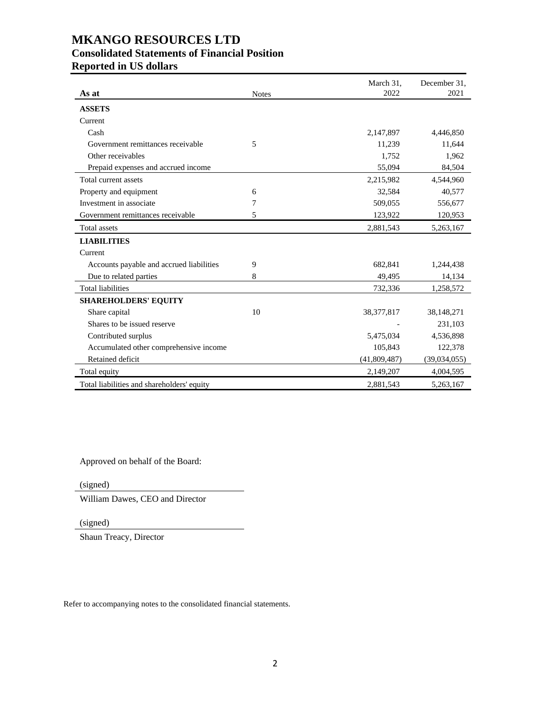# **MKANGO RESOURCES LTD Consolidated Statements of Financial Position Reported in US dollars**

| As at                                      | <b>Notes</b> | March 31,<br>2022 | December 31,<br>2021 |
|--------------------------------------------|--------------|-------------------|----------------------|
|                                            |              |                   |                      |
| <b>ASSETS</b>                              |              |                   |                      |
| Current                                    |              |                   |                      |
| Cash                                       |              | 2,147,897         | 4,446,850            |
| Government remittances receivable          | 5            | 11,239            | 11,644               |
| Other receivables                          |              | 1,752             | 1,962                |
| Prepaid expenses and accrued income        |              | 55,094            | 84,504               |
| Total current assets                       |              | 2,215,982         | 4,544,960            |
| Property and equipment                     | 6            | 32,584            | 40,577               |
| Investment in associate                    | 7            | 509,055           | 556,677              |
| Government remittances receivable          | 5            | 123,922           | 120,953              |
| <b>Total assets</b>                        |              | 2,881,543         | 5,263,167            |
| <b>LIABILITIES</b>                         |              |                   |                      |
| Current                                    |              |                   |                      |
| Accounts payable and accrued liabilities   | 9            | 682,841           | 1,244,438            |
| Due to related parties                     | 8            | 49,495            | 14,134               |
| <b>Total liabilities</b>                   |              | 732,336           | 1,258,572            |
| <b>SHAREHOLDERS' EQUITY</b>                |              |                   |                      |
| Share capital                              | 10           | 38, 377, 817      | 38, 148, 271         |
| Shares to be issued reserve                |              |                   | 231,103              |
| Contributed surplus                        |              | 5,475,034         | 4,536,898            |
| Accumulated other comprehensive income     |              | 105,843           | 122,378              |
| Retained deficit                           |              | (41,809,487)      | (39,034,055)         |
| Total equity                               |              | 2,149,207         | 4,004,595            |
| Total liabilities and shareholders' equity |              | 2,881,543         | 5,263,167            |

Approved on behalf of the Board:

(signed)

William Dawes, CEO and Director

(signed)

Shaun Treacy, Director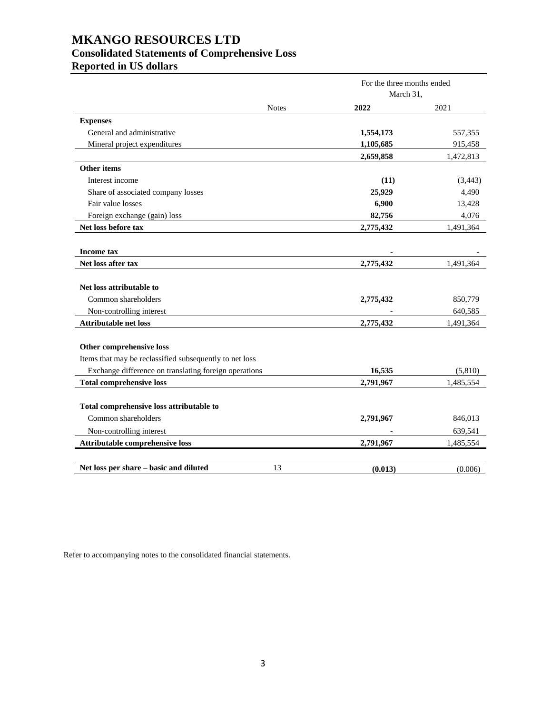# **MKANGO RESOURCES LTD Consolidated Statements of Comprehensive Loss Reported in US dollars**

|                                                                                                                                              |              | For the three months ended<br>March 31, |                    |
|----------------------------------------------------------------------------------------------------------------------------------------------|--------------|-----------------------------------------|--------------------|
|                                                                                                                                              | <b>Notes</b> | 2022                                    | 2021               |
| <b>Expenses</b>                                                                                                                              |              |                                         |                    |
| General and administrative                                                                                                                   |              | 1,554,173                               | 557,355            |
| Mineral project expenditures                                                                                                                 |              | 1,105,685                               | 915,458            |
|                                                                                                                                              |              | 2,659,858                               | 1,472,813          |
| Other items                                                                                                                                  |              |                                         |                    |
| Interest income                                                                                                                              |              | (11)                                    | (3, 443)           |
| Share of associated company losses                                                                                                           |              | 25,929                                  | 4,490              |
| Fair value losses                                                                                                                            |              | 6,900                                   | 13,428             |
| Foreign exchange (gain) loss                                                                                                                 |              | 82,756                                  | 4,076              |
| Net loss before tax                                                                                                                          |              | 2,775,432                               | 1,491,364          |
| <b>Income tax</b>                                                                                                                            |              |                                         |                    |
| Net loss after tax                                                                                                                           |              | 2,775,432                               | 1,491,364          |
| Net loss attributable to<br>Common shareholders<br>Non-controlling interest                                                                  |              | 2,775,432                               | 850,779<br>640,585 |
| <b>Attributable net loss</b>                                                                                                                 |              | 2,775,432                               | 1,491,364          |
| Other comprehensive loss<br>Items that may be reclassified subsequently to net loss<br>Exchange difference on translating foreign operations |              | 16,535                                  | (5,810)            |
| <b>Total comprehensive loss</b>                                                                                                              |              | 2,791,967                               | 1,485,554          |
| Total comprehensive loss attributable to<br>Common shareholders<br>Non-controlling interest                                                  |              | 2,791,967                               | 846,013<br>639,541 |
| Attributable comprehensive loss                                                                                                              |              | 2,791,967                               | 1,485,554          |
| Net loss per share - basic and diluted                                                                                                       | 13           | (0.013)                                 | (0.006)            |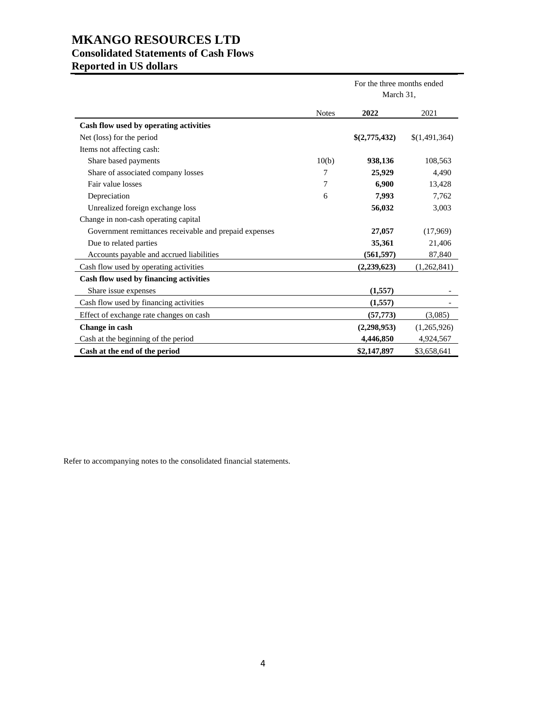# **MKANGO RESOURCES LTD Consolidated Statements of Cash Flows**

|  | <b>Reported in US dollars</b> |
|--|-------------------------------|
|--|-------------------------------|

|                                                        |              | For the three months ended<br>March 31, |               |
|--------------------------------------------------------|--------------|-----------------------------------------|---------------|
|                                                        | <b>Notes</b> | 2022                                    | 2021          |
| Cash flow used by operating activities                 |              |                                         |               |
| Net (loss) for the period                              |              | \$(2,775,432)                           | \$(1,491,364) |
| Items not affecting cash:                              |              |                                         |               |
| Share based payments                                   | 10(b)        | 938,136                                 | 108,563       |
| Share of associated company losses                     | 7            | 25,929                                  | 4,490         |
| Fair value losses                                      | 7            | 6,900                                   | 13,428        |
| Depreciation                                           | 6            | 7,993                                   | 7,762         |
| Unrealized foreign exchange loss                       |              | 56,032                                  | 3,003         |
| Change in non-cash operating capital                   |              |                                         |               |
| Government remittances receivable and prepaid expenses |              | 27,057                                  | (17,969)      |
| Due to related parties                                 |              | 35,361                                  | 21,406        |
| Accounts payable and accrued liabilities               |              | (561, 597)                              | 87,840        |
| Cash flow used by operating activities                 |              | (2,239,623)                             | (1,262,841)   |
| Cash flow used by financing activities                 |              |                                         |               |
| Share issue expenses                                   |              | (1, 557)                                |               |
| Cash flow used by financing activities                 |              | (1,557)                                 |               |
| Effect of exchange rate changes on cash                |              | (57, 773)                               | (3,085)       |
| Change in cash                                         |              | (2,298,953)                             | (1,265,926)   |
| Cash at the beginning of the period                    |              | 4,446,850                               | 4,924,567     |
| Cash at the end of the period                          |              | \$2,147,897                             | \$3,658,641   |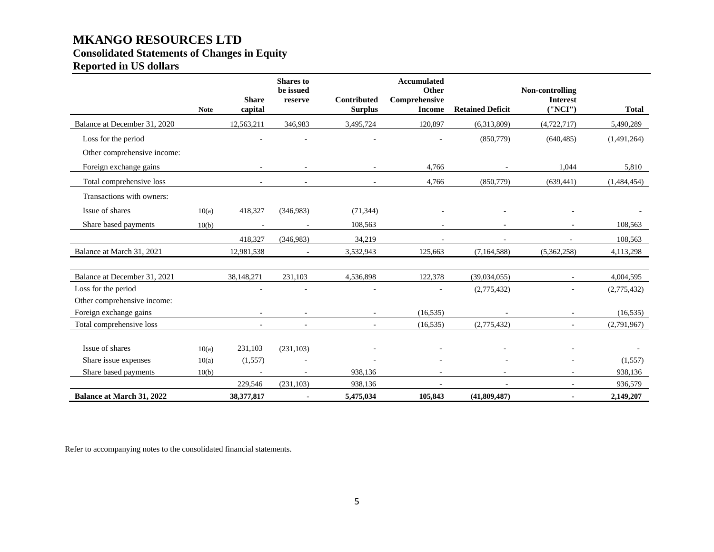# **MKANGO RESOURCES LTD Consolidated Statements of Changes in Equity**

# **Reported in US dollars**

|                                  |             |                          | <b>Shares</b> to<br>be issued |                                      | <b>Accumulated</b><br>Other    |                         | Non-controlling             |              |
|----------------------------------|-------------|--------------------------|-------------------------------|--------------------------------------|--------------------------------|-------------------------|-----------------------------|--------------|
|                                  | <b>Note</b> | <b>Share</b><br>capital  | reserve                       | <b>Contributed</b><br><b>Surplus</b> | Comprehensive<br><b>Income</b> | <b>Retained Deficit</b> | <b>Interest</b><br>(''NCI') | <b>Total</b> |
| Balance at December 31, 2020     |             | 12,563,211               | 346,983                       | 3,495,724                            | 120,897                        | (6,313,809)             | (4,722,717)                 | 5,490,289    |
| Loss for the period              |             |                          |                               |                                      |                                | (850,779)               | (640, 485)                  | (1,491,264)  |
| Other comprehensive income:      |             |                          |                               |                                      |                                |                         |                             |              |
| Foreign exchange gains           |             |                          |                               |                                      | 4,766                          |                         | 1,044                       | 5,810        |
| Total comprehensive loss         |             |                          |                               |                                      | 4,766                          | (850,779)               | (639, 441)                  | (1,484,454)  |
| Transactions with owners:        |             |                          |                               |                                      |                                |                         |                             |              |
| Issue of shares                  | 10(a)       | 418,327                  | (346,983)                     | (71, 344)                            |                                |                         |                             |              |
| Share based payments             | 10(b)       |                          |                               | 108,563                              | $\sim$                         |                         |                             | 108,563      |
|                                  |             | 418,327                  | (346,983)                     | 34,219                               |                                |                         |                             | 108,563      |
| Balance at March 31, 2021        |             | 12,981,538               |                               | 3,532,943                            | 125.663                        | (7,164,588)             | (5,362,258)                 | 4,113,298    |
|                                  |             |                          |                               |                                      |                                |                         |                             |              |
| Balance at December 31, 2021     |             | 38,148,271               | 231,103                       | 4,536,898                            | 122,378                        | (39,034,055)            | $\sim$                      | 4,004,595    |
| Loss for the period              |             |                          |                               |                                      |                                | (2,775,432)             |                             | (2,775,432)  |
| Other comprehensive income:      |             |                          |                               |                                      |                                |                         |                             |              |
| Foreign exchange gains           |             | $\overline{\phantom{a}}$ |                               | $\sim$                               | (16, 535)                      |                         | $\sim$                      | (16, 535)    |
| Total comprehensive loss         |             |                          |                               |                                      | (16, 535)                      | (2,775,432)             |                             | (2,791,967)  |
| Issue of shares                  |             |                          |                               |                                      |                                |                         |                             |              |
|                                  | 10(a)       | 231,103                  | (231, 103)                    |                                      |                                |                         |                             |              |
| Share issue expenses             | 10(a)       | (1,557)                  |                               |                                      |                                |                         |                             | (1,557)      |
| Share based payments             | 10(b)       |                          | ÷.                            | 938,136                              |                                |                         |                             | 938,136      |
|                                  |             | 229,546                  | (231, 103)                    | 938,136                              |                                |                         |                             | 936,579      |
| <b>Balance at March 31, 2022</b> |             | 38,377,817               |                               | 5,475,034                            | 105,843                        | (41,809,487)            |                             | 2,149,207    |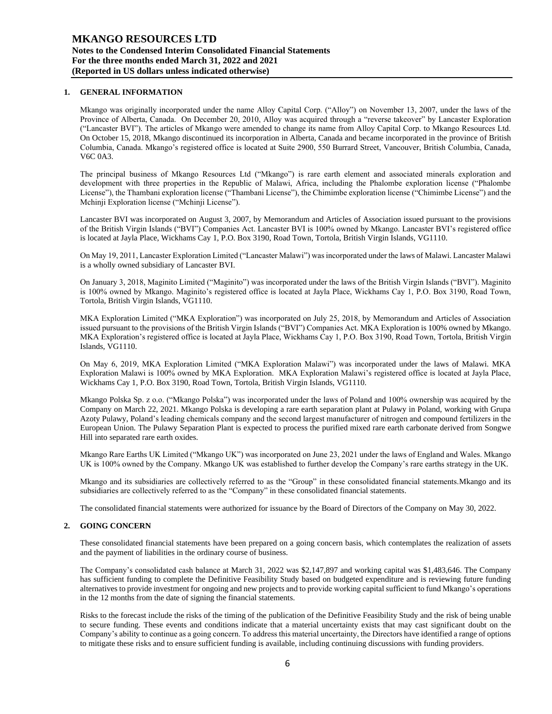## **1. GENERAL INFORMATION**

Mkango was originally incorporated under the name Alloy Capital Corp. ("Alloy") on November 13, 2007, under the laws of the Province of Alberta, Canada. On December 20, 2010, Alloy was acquired through a "reverse takeover" by Lancaster Exploration ("Lancaster BVI"). The articles of Mkango were amended to change its name from Alloy Capital Corp. to Mkango Resources Ltd. On October 15, 2018, Mkango discontinued its incorporation in Alberta, Canada and became incorporated in the province of British Columbia, Canada. Mkango's registered office is located at Suite 2900, 550 Burrard Street, Vancouver, British Columbia, Canada, V6C 0A3.

The principal business of Mkango Resources Ltd ("Mkango") is rare earth element and associated minerals exploration and development with three properties in the Republic of Malawi, Africa, including the Phalombe exploration license ("Phalombe License"), the Thambani exploration license ("Thambani License"), the Chimimbe exploration license ("Chimimbe License") and the Mchinji Exploration license ("Mchinji License").

Lancaster BVI was incorporated on August 3, 2007, by Memorandum and Articles of Association issued pursuant to the provisions of the British Virgin Islands ("BVI") Companies Act. Lancaster BVI is 100% owned by Mkango. Lancaster BVI's registered office is located at Jayla Place, Wickhams Cay 1, P.O. Box 3190, Road Town, Tortola, British Virgin Islands, VG1110.

On May 19, 2011, Lancaster Exploration Limited ("Lancaster Malawi") was incorporated under the laws of Malawi. Lancaster Malawi is a wholly owned subsidiary of Lancaster BVI.

On January 3, 2018, Maginito Limited ("Maginito") was incorporated under the laws of the British Virgin Islands ("BVI"). Maginito is 100% owned by Mkango. Maginito's registered office is located at Jayla Place, Wickhams Cay 1, P.O. Box 3190, Road Town, Tortola, British Virgin Islands, VG1110.

MKA Exploration Limited ("MKA Exploration") was incorporated on July 25, 2018, by Memorandum and Articles of Association issued pursuant to the provisions of the British Virgin Islands ("BVI") Companies Act. MKA Exploration is 100% owned by Mkango. MKA Exploration's registered office is located at Jayla Place, Wickhams Cay 1, P.O. Box 3190, Road Town, Tortola, British Virgin Islands, VG1110.

On May 6, 2019, MKA Exploration Limited ("MKA Exploration Malawi") was incorporated under the laws of Malawi. MKA Exploration Malawi is 100% owned by MKA Exploration. MKA Exploration Malawi's registered office is located at Jayla Place, Wickhams Cay 1, P.O. Box 3190, Road Town, Tortola, British Virgin Islands, VG1110.

Mkango Polska Sp. z o.o. ("Mkango Polska") was incorporated under the laws of Poland and 100% ownership was acquired by the Company on March 22, 2021. Mkango Polska is developing a rare earth separation plant at Pulawy in Poland, working with Grupa Azoty Pulawy, Poland's leading chemicals company and the second largest manufacturer of nitrogen and compound fertilizers in the European Union. The Pulawy Separation Plant is expected to process the purified mixed rare earth carbonate derived from Songwe Hill into separated rare earth oxides.

Mkango Rare Earths UK Limited ("Mkango UK") was incorporated on June 23, 2021 under the laws of England and Wales. Mkango UK is 100% owned by the Company. Mkango UK was established to further develop the Company's rare earths strategy in the UK.

Mkango and its subsidiaries are collectively referred to as the "Group" in these consolidated financial statements.Mkango and its subsidiaries are collectively referred to as the "Company" in these consolidated financial statements.

The consolidated financial statements were authorized for issuance by the Board of Directors of the Company on May 30, 2022.

# **2. GOING CONCERN**

These consolidated financial statements have been prepared on a going concern basis, which contemplates the realization of assets and the payment of liabilities in the ordinary course of business.

The Company's consolidated cash balance at March 31, 2022 was \$2,147,897 and working capital was \$1,483,646. The Company has sufficient funding to complete the Definitive Feasibility Study based on budgeted expenditure and is reviewing future funding alternatives to provide investment for ongoing and new projects and to provide working capital sufficient to fund Mkango's operations in the 12 months from the date of signing the financial statements.

Risks to the forecast include the risks of the timing of the publication of the Definitive Feasibility Study and the risk of being unable to secure funding. These events and conditions indicate that a material uncertainty exists that may cast significant doubt on the Company's ability to continue as a going concern. To address this material uncertainty, the Directors have identified a range of options to mitigate these risks and to ensure sufficient funding is available, including continuing discussions with funding providers.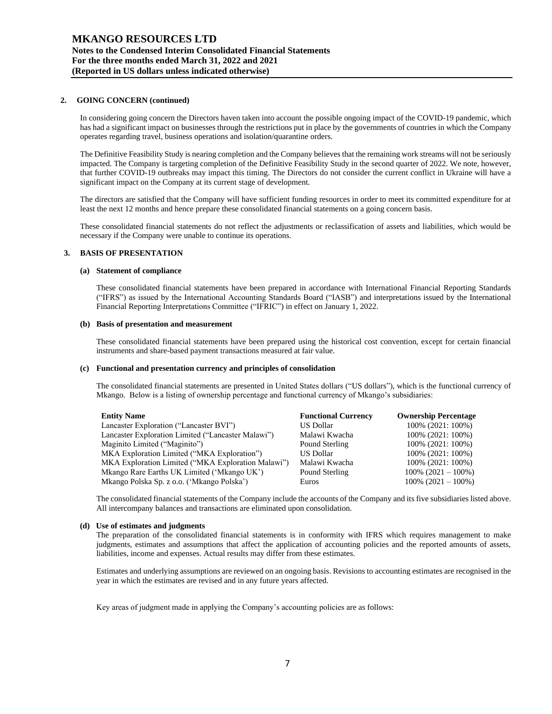## **2. GOING CONCERN (continued)**

In considering going concern the Directors haven taken into account the possible ongoing impact of the COVID-19 pandemic, which has had a significant impact on businesses through the restrictions put in place by the governments of countries in which the Company operates regarding travel, business operations and isolation/quarantine orders.

The Definitive Feasibility Study is nearing completion and the Company believes that the remaining work streams will not be seriously impacted. The Company is targeting completion of the Definitive Feasibility Study in the second quarter of 2022. We note, however, that further COVID-19 outbreaks may impact this timing. The Directors do not consider the current conflict in Ukraine will have a significant impact on the Company at its current stage of development.

The directors are satisfied that the Company will have sufficient funding resources in order to meet its committed expenditure for at least the next 12 months and hence prepare these consolidated financial statements on a going concern basis.

These consolidated financial statements do not reflect the adjustments or reclassification of assets and liabilities, which would be necessary if the Company were unable to continue its operations.

### **3. BASIS OF PRESENTATION**

### **(a) Statement of compliance**

These consolidated financial statements have been prepared in accordance with International Financial Reporting Standards ("IFRS") as issued by the International Accounting Standards Board ("IASB") and interpretations issued by the International Financial Reporting Interpretations Committee ("IFRIC") in effect on January 1, 2022.

### **(b) Basis of presentation and measurement**

These consolidated financial statements have been prepared using the historical cost convention, except for certain financial instruments and share-based payment transactions measured at fair value.

### **(c) Functional and presentation currency and principles of consolidation**

The consolidated financial statements are presented in United States dollars ("US dollars"), which is the functional currency of Mkango. Below is a listing of ownership percentage and functional currency of Mkango's subsidiaries:

| <b>Entity Name</b>                                 | <b>Functional Currency</b> | <b>Ownership Percentage</b> |
|----------------------------------------------------|----------------------------|-----------------------------|
| Lancaster Exploration ("Lancaster BVI")            | US Dollar                  | 100% (2021: 100%)           |
| Lancaster Exploration Limited ("Lancaster Malawi") | Malawi Kwacha              | 100% (2021: 100%)           |
| Maginito Limited ("Maginito")                      | Pound Sterling             | 100% (2021: 100%)           |
| MKA Exploration Limited ("MKA Exploration")        | <b>US Dollar</b>           | 100% (2021: 100%)           |
| MKA Exploration Limited ("MKA Exploration Malawi") | Malawi Kwacha              | 100% (2021: 100%)           |
| Mkango Rare Earths UK Limited ('Mkango UK')        | Pound Sterling             | $100\%$ (2021 - 100%)       |
| Mkango Polska Sp. z o.o. ('Mkango Polska')         | <b>Euros</b>               | $100\%$ (2021 - 100%)       |

The consolidated financial statements of the Company include the accounts of the Company and its five subsidiaries listed above. All intercompany balances and transactions are eliminated upon consolidation.

### **(d) Use of estimates and judgments**

The preparation of the consolidated financial statements is in conformity with IFRS which requires management to make judgments, estimates and assumptions that affect the application of accounting policies and the reported amounts of assets, liabilities, income and expenses. Actual results may differ from these estimates.

Estimates and underlying assumptions are reviewed on an ongoing basis. Revisions to accounting estimates are recognised in the year in which the estimates are revised and in any future years affected.

Key areas of judgment made in applying the Company's accounting policies are as follows: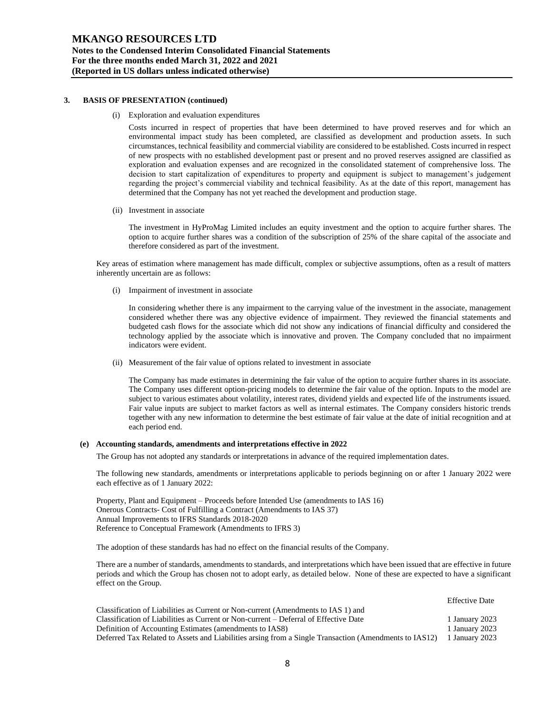#### **3. BASIS OF PRESENTATION (continued)**

(i) Exploration and evaluation expenditures

Costs incurred in respect of properties that have been determined to have proved reserves and for which an environmental impact study has been completed, are classified as development and production assets. In such circumstances, technical feasibility and commercial viability are considered to be established. Costs incurred in respect of new prospects with no established development past or present and no proved reserves assigned are classified as exploration and evaluation expenses and are recognized in the consolidated statement of comprehensive loss. The decision to start capitalization of expenditures to property and equipment is subject to management's judgement regarding the project's commercial viability and technical feasibility. As at the date of this report, management has determined that the Company has not yet reached the development and production stage.

(ii) Investment in associate

The investment in HyProMag Limited includes an equity investment and the option to acquire further shares. The option to acquire further shares was a condition of the subscription of 25% of the share capital of the associate and therefore considered as part of the investment.

Key areas of estimation where management has made difficult, complex or subjective assumptions, often as a result of matters inherently uncertain are as follows:

(i) Impairment of investment in associate

In considering whether there is any impairment to the carrying value of the investment in the associate, management considered whether there was any objective evidence of impairment. They reviewed the financial statements and budgeted cash flows for the associate which did not show any indications of financial difficulty and considered the technology applied by the associate which is innovative and proven. The Company concluded that no impairment indicators were evident.

(ii) Measurement of the fair value of options related to investment in associate

The Company has made estimates in determining the fair value of the option to acquire further shares in its associate. The Company uses different option-pricing models to determine the fair value of the option. Inputs to the model are subject to various estimates about volatility, interest rates, dividend yields and expected life of the instruments issued. Fair value inputs are subject to market factors as well as internal estimates. The Company considers historic trends together with any new information to determine the best estimate of fair value at the date of initial recognition and at each period end.

### **(e) Accounting standards, amendments and interpretations effective in 2022**

The Group has not adopted any standards or interpretations in advance of the required implementation dates.

The following new standards, amendments or interpretations applicable to periods beginning on or after 1 January 2022 were each effective as of 1 January 2022:

Property, Plant and Equipment – Proceeds before Intended Use (amendments to IAS 16) Onerous Contracts- Cost of Fulfilling a Contract (Amendments to IAS 37) Annual Improvements to IFRS Standards 2018-2020 Reference to Conceptual Framework (Amendments to IFRS 3)

The adoption of these standards has had no effect on the financial results of the Company.

There are a number of standards, amendments to standards, and interpretations which have been issued that are effective in future periods and which the Group has chosen not to adopt early, as detailed below. None of these are expected to have a significant effect on the Group.

|                                                                                                       | <b>Effective Date</b> |
|-------------------------------------------------------------------------------------------------------|-----------------------|
| Classification of Liabilities as Current or Non-current (Amendments to IAS 1) and                     |                       |
| Classification of Liabilities as Current or Non-current – Deferral of Effective Date                  | 1 January 2023        |
| Definition of Accounting Estimates (amendments to IAS8)                                               | 1 January 2023        |
| Deferred Tax Related to Assets and Liabilities arsing from a Single Transaction (Amendments to IAS12) | 1 January 2023        |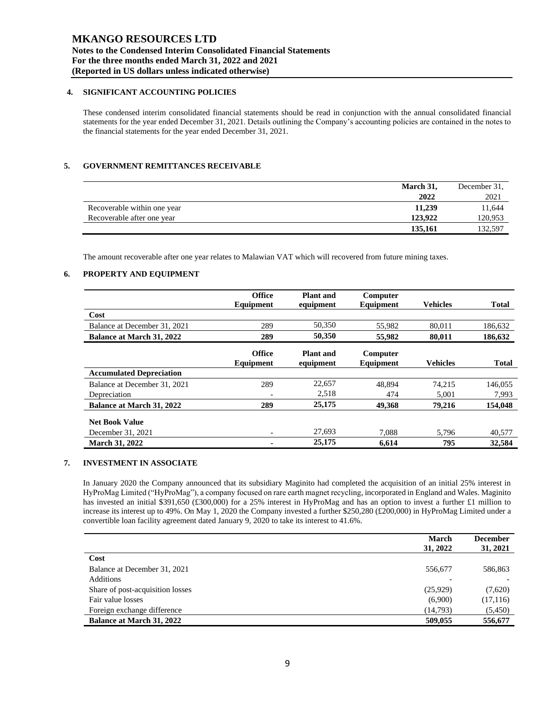# **4. SIGNIFICANT ACCOUNTING POLICIES**

These condensed interim consolidated financial statements should be read in conjunction with the annual consolidated financial statements for the year ended December 31, 2021. Details outlining the Company's accounting policies are contained in the notes to the financial statements for the year ended December 31, 2021.

# **5. GOVERNMENT REMITTANCES RECEIVABLE**

|                             | March 31, | December 31. |
|-----------------------------|-----------|--------------|
|                             | 2022      | 2021         |
| Recoverable within one year | 11,239    | 11,644       |
| Recoverable after one year  | 123,922   | 120,953      |
|                             | 135,161   | 132.597      |

The amount recoverable after one year relates to Malawian VAT which will recovered from future mining taxes.

# **6. PROPERTY AND EQUIPMENT**

|                                  | <b>Office</b>              | <b>Plant</b> and              | Computer              |                 |              |
|----------------------------------|----------------------------|-------------------------------|-----------------------|-----------------|--------------|
|                                  | Equipment                  | equipment                     | Equipment             | <b>Vehicles</b> | <b>Total</b> |
| Cost                             |                            |                               |                       |                 |              |
| Balance at December 31, 2021     | 289                        | 50,350                        | 55,982                | 80.011          | 186,632      |
| <b>Balance at March 31, 2022</b> | 289                        | 50,350                        | 55,982                | 80,011          | 186,632      |
|                                  | <b>Office</b><br>Equipment | <b>Plant</b> and<br>equipment | Computer<br>Equipment | <b>Vehicles</b> | <b>Total</b> |
| <b>Accumulated Depreciation</b>  |                            |                               |                       |                 |              |
| Balance at December 31, 2021     | 289                        | 22,657                        | 48.894                | 74.215          | 146,055      |
| Depreciation                     | $\overline{\phantom{a}}$   | 2,518                         | 474                   | 5,001           | 7,993        |
| Balance at March 31, 2022        | 289                        | 25,175                        | 49,368                | 79,216          | 154,048      |
| <b>Net Book Value</b>            |                            |                               |                       |                 |              |
| December 31, 2021                | -                          | 27,693                        | 7.088                 | 5.796           | 40,577       |
| <b>March 31, 2022</b>            |                            | 25,175                        | 6,614                 | 795             | 32,584       |

# **7. INVESTMENT IN ASSOCIATE**

In January 2020 the Company announced that its subsidiary Maginito had completed the acquisition of an initial 25% interest in HyProMag Limited ("HyProMag"), a company focused on rare earth magnet recycling, incorporated in England and Wales. Maginito has invested an initial \$391,650 (£300,000) for a 25% interest in HyProMag and has an option to invest a further £1 million to increase its interest up to 49%. On May 1, 2020 the Company invested a further \$250,280 (£200,000) in HyProMag Limited under a convertible loan facility agreement dated January 9, 2020 to take its interest to 41.6%.

|                                  | <b>March</b> | <b>December</b> |
|----------------------------------|--------------|-----------------|
|                                  | 31, 2022     | 31, 2021        |
| Cost                             |              |                 |
| Balance at December 31, 2021     | 556,677      | 586,863         |
| Additions                        |              |                 |
| Share of post-acquisition losses | (25,929)     | (7,620)         |
| Fair value losses                | (6,900)      | (17, 116)       |
| Foreign exchange difference      | (14,793)     | (5,450)         |
| <b>Balance at March 31, 2022</b> | 509,055      | 556,677         |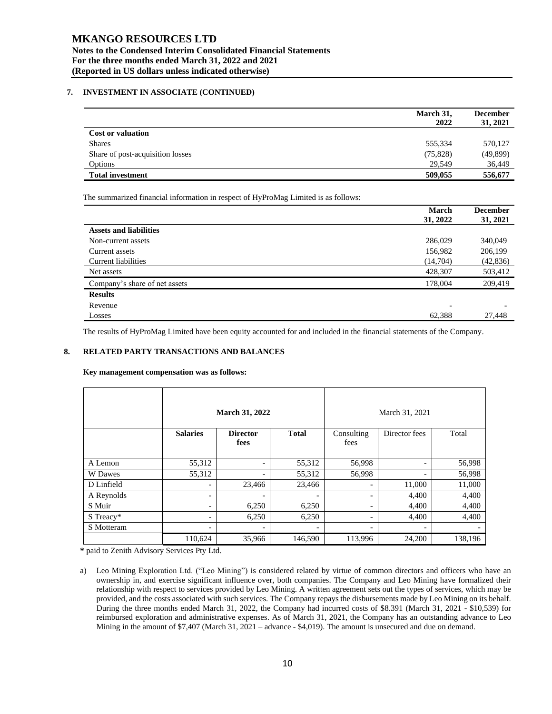# **MKANGO RESOURCES LTD Notes to the Condensed Interim Consolidated Financial Statements For the three months ended March 31, 2022 and 2021 (Reported in US dollars unless indicated otherwise)**

# **7. INVESTMENT IN ASSOCIATE (CONTINUED)**

|                                  | March 31,<br>2022 | <b>December</b><br>31, 2021 |
|----------------------------------|-------------------|-----------------------------|
| <b>Cost or valuation</b>         |                   |                             |
| <b>Shares</b>                    | 555,334           | 570,127                     |
| Share of post-acquisition losses | (75, 828)         | (49, 899)                   |
| Options                          | 29.549            | 36,449                      |
| <b>Total investment</b>          | 509,055           | 556,677                     |

The summarized financial information in respect of HyProMag Limited is as follows:

|                               | <b>March</b>             | <b>December</b> |
|-------------------------------|--------------------------|-----------------|
|                               | 31, 2022                 | 31, 2021        |
| <b>Assets and liabilities</b> |                          |                 |
| Non-current assets            | 286,029                  | 340,049         |
| Current assets                | 156,982                  | 206,199         |
| Current liabilities           | (14,704)                 | (42, 836)       |
| Net assets                    | 428,307                  | 503,412         |
| Company's share of net assets | 178,004                  | 209,419         |
| <b>Results</b>                |                          |                 |
| Revenue                       | $\overline{\phantom{0}}$ |                 |
| Losses                        | 62,388                   | 27,448          |

The results of HyProMag Limited have been equity accounted for and included in the financial statements of the Company.

# **8. RELATED PARTY TRANSACTIONS AND BALANCES**

**Key management compensation was as follows:**

|            | <b>March 31, 2022</b> |                         |                          | March 31, 2021           |                          |         |
|------------|-----------------------|-------------------------|--------------------------|--------------------------|--------------------------|---------|
|            | <b>Salaries</b>       | <b>Director</b><br>fees | <b>Total</b>             | Consulting<br>fees       | Director fees            | Total   |
| A Lemon    | 55,312                | -                       | 55,312                   | 56,998                   | $\overline{\phantom{a}}$ | 56,998  |
| W Dawes    | 55,312                | -                       | 55,312                   | 56,998                   | ۰                        | 56,998  |
| D Linfield | -                     | 23,466                  | 23,466                   | $\overline{\phantom{0}}$ | 11,000                   | 11,000  |
| A Reynolds | -                     | -                       | $\overline{\phantom{0}}$ | $\overline{\phantom{0}}$ | 4,400                    | 4,400   |
| S Muir     | -                     | 6,250                   | 6,250                    | -                        | 4,400                    | 4,400   |
| S Treacy*  | -                     | 6,250                   | 6,250                    | -                        | 4,400                    | 4,400   |
| S Motteram | -                     | -                       | -                        | -                        | $\overline{\phantom{a}}$ |         |
|            | 110,624               | 35,966                  | 146,590                  | 113,996                  | 24,200                   | 138,196 |

**\*** paid to Zenith Advisory Services Pty Ltd.

a) Leo Mining Exploration Ltd. ("Leo Mining") is considered related by virtue of common directors and officers who have an ownership in, and exercise significant influence over, both companies. The Company and Leo Mining have formalized their relationship with respect to services provided by Leo Mining. A written agreement sets out the types of services, which may be provided, and the costs associated with such services. The Company repays the disbursements made by Leo Mining on its behalf. During the three months ended March 31, 2022, the Company had incurred costs of \$8.391 (March 31, 2021 - \$10,539) for reimbursed exploration and administrative expenses. As of March 31, 2021, the Company has an outstanding advance to Leo Mining in the amount of \$7,407 (March 31, 2021 – advance - \$4,019). The amount is unsecured and due on demand.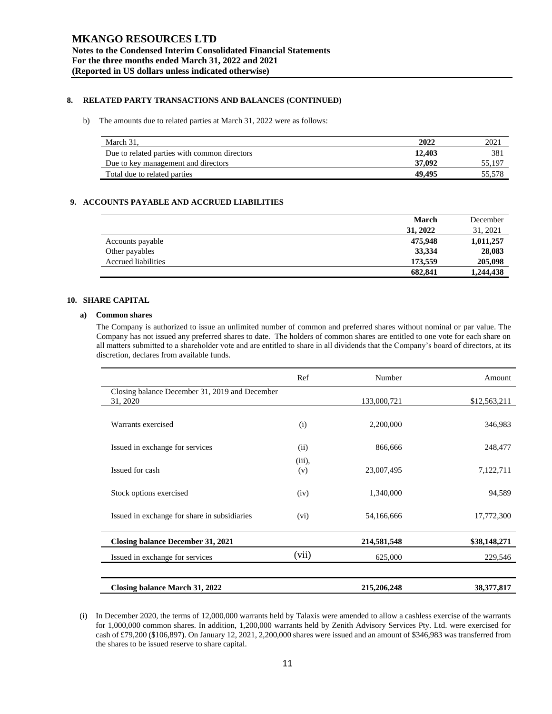# **8. RELATED PARTY TRANSACTIONS AND BALANCES (CONTINUED)**

#### b) The amounts due to related parties at March 31, 2022 were as follows:

| March 31.                                    | 2022   | 2021   |
|----------------------------------------------|--------|--------|
| Due to related parties with common directors | 12,403 | 381    |
| Due to key management and directors          | 37,092 | 55,197 |
| Total due to related parties                 | 49.495 | 55.578 |

# **9. ACCOUNTS PAYABLE AND ACCRUED LIABILITIES**

|                            | <b>March</b> | December  |
|----------------------------|--------------|-----------|
|                            | 31, 2022     | 31, 2021  |
| Accounts payable           | 475,948      | 1,011,257 |
| Other payables             | 33,334       | 28,083    |
| <b>Accrued liabilities</b> | 173,559      | 205,098   |
|                            | 682,841      | 1,244,438 |

# **10. SHARE CAPITAL**

#### **a) Common shares**

The Company is authorized to issue an unlimited number of common and preferred shares without nominal or par value. The Company has not issued any preferred shares to date. The holders of common shares are entitled to one vote for each share on all matters submitted to a shareholder vote and are entitled to share in all dividends that the Company's board of directors, at its discretion, declares from available funds.

|                                                            | Ref           | Number      | Amount       |
|------------------------------------------------------------|---------------|-------------|--------------|
| Closing balance December 31, 2019 and December<br>31, 2020 |               | 133,000,721 | \$12,563,211 |
| Warrants exercised                                         | (i)           | 2,200,000   | 346,983      |
| Issued in exchange for services                            | (ii)          | 866,666     | 248,477      |
| Issued for cash                                            | (iii),<br>(v) | 23,007,495  | 7,122,711    |
| Stock options exercised                                    | (iv)          | 1,340,000   | 94,589       |
| Issued in exchange for share in subsidiaries               | (vi)          | 54,166,666  | 17,772,300   |
| <b>Closing balance December 31, 2021</b>                   |               | 214,581,548 | \$38,148,271 |
| Issued in exchange for services                            | (vii)         | 625,000     | 229,546      |
| Closing balance March 31, 2022                             |               | 215,206,248 | 38, 377, 817 |

(i) In December 2020, the terms of 12,000,000 warrants held by Talaxis were amended to allow a cashless exercise of the warrants for 1,000,000 common shares. In addition, 1,200,000 warrants held by Zenith Advisory Services Pty. Ltd. were exercised for cash of £79,200 (\$106,897). On January 12, 2021, 2,200,000 shares were issued and an amount of \$346,983 was transferred from the shares to be issued reserve to share capital.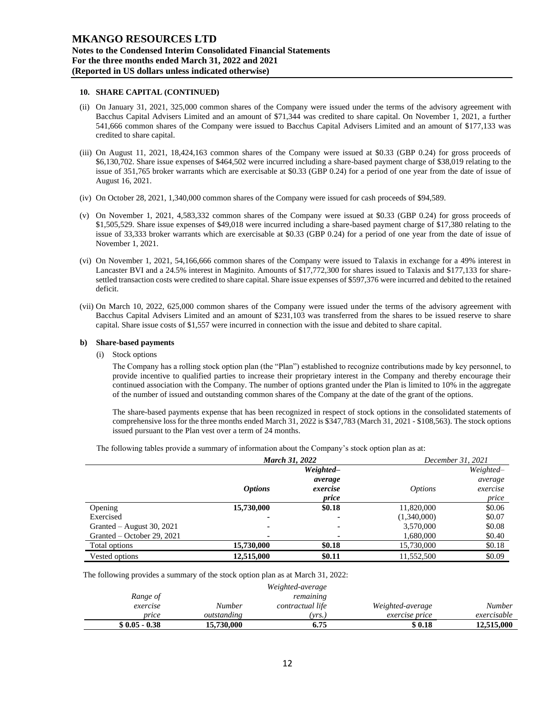### **10. SHARE CAPITAL (CONTINUED)**

- (ii) On January 31, 2021, 325,000 common shares of the Company were issued under the terms of the advisory agreement with Bacchus Capital Advisers Limited and an amount of \$71,344 was credited to share capital. On November 1, 2021, a further 541,666 common shares of the Company were issued to Bacchus Capital Advisers Limited and an amount of \$177,133 was credited to share capital.
- (iii) On August 11, 2021, 18,424,163 common shares of the Company were issued at \$0.33 (GBP 0.24) for gross proceeds of \$6,130,702. Share issue expenses of \$464,502 were incurred including a share-based payment charge of \$38,019 relating to the issue of 351,765 broker warrants which are exercisable at \$0.33 (GBP 0.24) for a period of one year from the date of issue of August 16, 2021.
- (iv) On October 28, 2021, 1,340,000 common shares of the Company were issued for cash proceeds of \$94,589.
- (v) On November 1, 2021, 4,583,332 common shares of the Company were issued at \$0.33 (GBP 0.24) for gross proceeds of \$1,505,529. Share issue expenses of \$49,018 were incurred including a share-based payment charge of \$17,380 relating to the issue of 33,333 broker warrants which are exercisable at \$0.33 (GBP 0.24) for a period of one year from the date of issue of November 1, 2021.
- (vi) On November 1, 2021, 54,166,666 common shares of the Company were issued to Talaxis in exchange for a 49% interest in Lancaster BVI and a 24.5% interest in Maginito. Amounts of \$17,772,300 for shares issued to Talaxis and \$177,133 for sharesettled transaction costs were credited to share capital. Share issue expenses of \$597,376 were incurred and debited to the retained deficit.
- (vii) On March 10, 2022, 625,000 common shares of the Company were issued under the terms of the advisory agreement with Bacchus Capital Advisers Limited and an amount of \$231,103 was transferred from the shares to be issued reserve to share capital. Share issue costs of \$1,557 were incurred in connection with the issue and debited to share capital.

#### **b) Share-based payments**

(i) Stock options

The Company has a rolling stock option plan (the "Plan") established to recognize contributions made by key personnel, to provide incentive to qualified parties to increase their proprietary interest in the Company and thereby encourage their continued association with the Company. The number of options granted under the Plan is limited to 10% in the aggregate of the number of issued and outstanding common shares of the Company at the date of the grant of the options.

The share-based payments expense that has been recognized in respect of stock options in the consolidated statements of comprehensive loss for the three months ended March 31, 2022 is \$347,783 (March 31, 2021 - \$108,563). The stock options issued pursuant to the Plan vest over a term of 24 months.

The following tables provide a summary of information about the Company's stock option plan as at:

|                             | <b>March 31, 2022</b> |                              |                | December 31, 2021            |
|-----------------------------|-----------------------|------------------------------|----------------|------------------------------|
|                             |                       | Weighted-                    |                | Weighted-                    |
|                             | <i><b>Options</b></i> | average<br>exercise<br>price | <i>Options</i> | average<br>exercise<br>price |
| Opening                     | 15,730,000            | \$0.18                       | 11,820,000     | \$0.06                       |
| Exercised                   | $\blacksquare$        | $\blacksquare$               | (1,340,000)    | \$0.07                       |
| Granted $-$ August 30, 2021 | ۰                     |                              | 3,570,000      | \$0.08                       |
| Granted – October 29, 2021  | ۰                     |                              | 1,680,000      | \$0.40                       |
| Total options               | 15,730,000            | \$0.18                       | 15,730,000     | \$0.18                       |
| Vested options              | 12,515,000            | \$0.11                       | 11.552.500     | \$0.09                       |

The following provides a summary of the stock option plan as at March 31, 2022:

|                |             | Weighted-average |                  |               |
|----------------|-------------|------------------|------------------|---------------|
| Range of       |             | remaining        |                  |               |
| exercise       | Number      | contractual life | Weighted-average | <b>Number</b> |
| price          | outstanding | vrs.             | exercise price   | exercisable   |
| $$0.05 - 0.38$ | 15.730.000  | 6.75             | \$ 0.18          | 12,515,000    |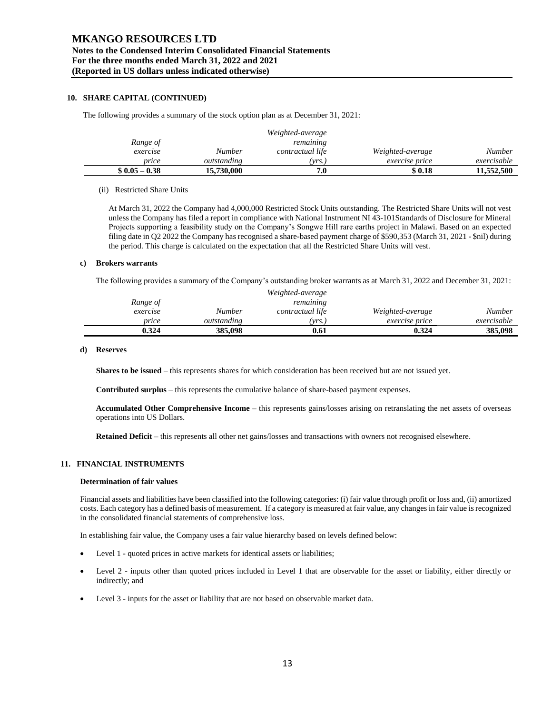# **MKANGO RESOURCES LTD Notes to the Condensed Interim Consolidated Financial Statements For the three months ended March 31, 2022 and 2021 (Reported in US dollars unless indicated otherwise)**

## **10. SHARE CAPITAL (CONTINUED)**

The following provides a summary of the stock option plan as at December 31, 2021:

|                |             | Weighted-average |                       |               |
|----------------|-------------|------------------|-----------------------|---------------|
| Range of       |             | remaining        |                       |               |
| exercise       | Number      | contractual life | Weighted-average      | <b>Number</b> |
| price          | outstanding | $'vrs.$ .        | <i>exercise price</i> | exercisable   |
| $$0.05 - 0.38$ | 15,730,000  | 7.0              | \$ 0.18               | 11,552,500    |

#### (ii) Restricted Share Units

At March 31, 2022 the Company had 4,000,000 Restricted Stock Units outstanding. The Restricted Share Units will not vest unless the Company has filed a report in compliance with National Instrument NI 43-101Standards of Disclosure for Mineral Projects supporting a feasibility study on the Company's Songwe Hill rare earths project in Malawi. Based on an expected filing date in Q2 2022 the Company has recognised a share-based payment charge of \$590,353 (March 31, 2021 - \$nil) during the period. This charge is calculated on the expectation that all the Restricted Share Units will vest.

### **c) Brokers warrants**

The following provides a summary of the Company's outstanding broker warrants as at March 31, 2022 and December 31, 2021:

|          |             | Weighted-average |                       |             |
|----------|-------------|------------------|-----------------------|-------------|
| Range of |             | remaining        |                       |             |
| exercise | Number      | contractual life | Weighted-average      | Number      |
| price    | outstanding | 'vrs.)           | <i>exercise price</i> | exercisable |
| 0.324    | 385,098     | 0.61             | 0.324                 | 385,098     |

#### **d) Reserves**

**Shares to be issued** – this represents shares for which consideration has been received but are not issued yet.

**Contributed surplus** – this represents the cumulative balance of share-based payment expenses.

**Accumulated Other Comprehensive Income** – this represents gains/losses arising on retranslating the net assets of overseas operations into US Dollars.

**Retained Deficit** – this represents all other net gains/losses and transactions with owners not recognised elsewhere.

### **11. FINANCIAL INSTRUMENTS**

## **Determination of fair values**

Financial assets and liabilities have been classified into the following categories: (i) fair value through profit or loss and, (ii) amortized costs. Each category has a defined basis of measurement. If a category is measured at fair value, any changes in fair value isrecognized in the consolidated financial statements of comprehensive loss.

In establishing fair value, the Company uses a fair value hierarchy based on levels defined below:

- Level 1 quoted prices in active markets for identical assets or liabilities;
- Level 2 inputs other than quoted prices included in Level 1 that are observable for the asset or liability, either directly or indirectly; and
- Level 3 inputs for the asset or liability that are not based on observable market data.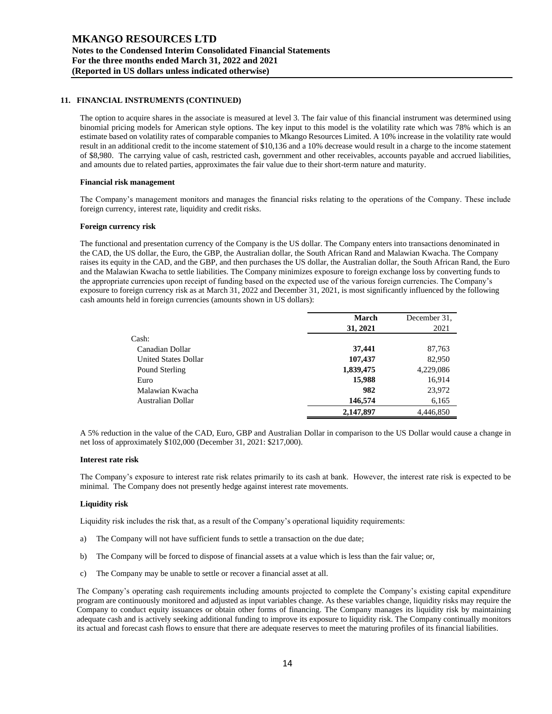# **11. FINANCIAL INSTRUMENTS (CONTINUED)**

The option to acquire shares in the associate is measured at level 3. The fair value of this financial instrument was determined using binomial pricing models for American style options. The key input to this model is the volatility rate which was 78% which is an estimate based on volatility rates of comparable companies to Mkango Resources Limited. A 10% increase in the volatility rate would result in an additional credit to the income statement of \$10,136 and a 10% decrease would result in a charge to the income statement of \$8,980. The carrying value of cash, restricted cash, government and other receivables, accounts payable and accrued liabilities, and amounts due to related parties, approximates the fair value due to their short-term nature and maturity.

### **Financial risk management**

The Company's management monitors and manages the financial risks relating to the operations of the Company. These include foreign currency, interest rate, liquidity and credit risks.

# **Foreign currency risk**

The functional and presentation currency of the Company is the US dollar. The Company enters into transactions denominated in the CAD, the US dollar, the Euro, the GBP, the Australian dollar, the South African Rand and Malawian Kwacha. The Company raises its equity in the CAD, and the GBP, and then purchases the US dollar, the Australian dollar, the South African Rand, the Euro and the Malawian Kwacha to settle liabilities. The Company minimizes exposure to foreign exchange loss by converting funds to the appropriate currencies upon receipt of funding based on the expected use of the various foreign currencies. The Company's exposure to foreign currency risk as at March 31, 2022 and December 31, 2021, is most significantly influenced by the following cash amounts held in foreign currencies (amounts shown in US dollars):

|                      | <b>March</b> | December 31. |
|----------------------|--------------|--------------|
|                      | 31, 2021     | 2021         |
| Cash:                |              |              |
| Canadian Dollar      | 37,441       | 87,763       |
| United States Dollar | 107,437      | 82,950       |
| Pound Sterling       | 1,839,475    | 4,229,086    |
| Euro                 | 15,988       | 16,914       |
| Malawian Kwacha      | 982          | 23,972       |
| Australian Dollar    | 146,574      | 6,165        |
|                      | 2,147,897    | 4,446,850    |

A 5% reduction in the value of the CAD, Euro, GBP and Australian Dollar in comparison to the US Dollar would cause a change in net loss of approximately \$102,000 (December 31, 2021: \$217,000).

### **Interest rate risk**

The Company's exposure to interest rate risk relates primarily to its cash at bank. However, the interest rate risk is expected to be minimal. The Company does not presently hedge against interest rate movements.

### **Liquidity risk**

Liquidity risk includes the risk that, as a result of the Company's operational liquidity requirements:

- a) The Company will not have sufficient funds to settle a transaction on the due date;
- b) The Company will be forced to dispose of financial assets at a value which is less than the fair value; or,
- c) The Company may be unable to settle or recover a financial asset at all.

The Company's operating cash requirements including amounts projected to complete the Company's existing capital expenditure program are continuously monitored and adjusted as input variables change. As these variables change, liquidity risks may require the Company to conduct equity issuances or obtain other forms of financing. The Company manages its liquidity risk by maintaining adequate cash and is actively seeking additional funding to improve its exposure to liquidity risk. The Company continually monitors its actual and forecast cash flows to ensure that there are adequate reserves to meet the maturing profiles of its financial liabilities.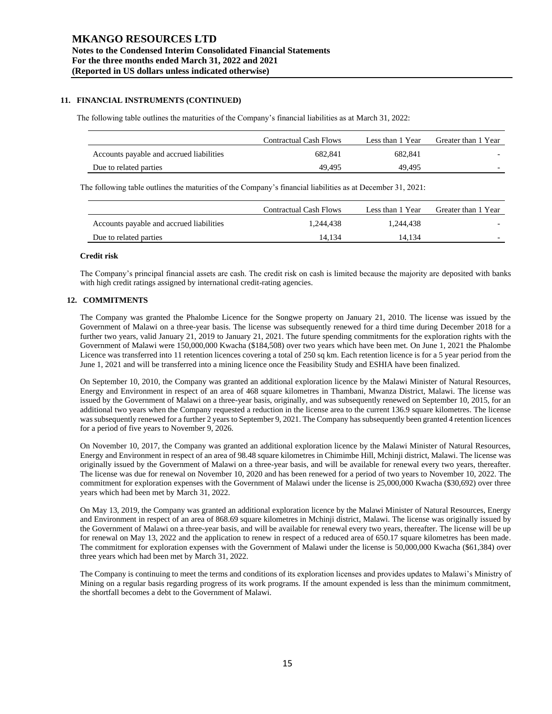# **11. FINANCIAL INSTRUMENTS (CONTINUED)**

The following table outlines the maturities of the Company's financial liabilities as at March 31, 2022:

|                                          | Contractual Cash Flows | Less than 1 Year | Greater than 1 Year |
|------------------------------------------|------------------------|------------------|---------------------|
| Accounts payable and accrued liabilities | 682.841                | 682.841          |                     |
| Due to related parties                   | 49.495                 | 49.495           |                     |

The following table outlines the maturities of the Company's financial liabilities as at December 31, 2021:

|                                          | Contractual Cash Flows | Less than 1 Year | Greater than 1 Year |
|------------------------------------------|------------------------|------------------|---------------------|
| Accounts payable and accrued liabilities | 1.244.438              | 1.244.438        |                     |
| Due to related parties                   | 14.134                 | 14.134           |                     |

#### **Credit risk**

The Company's principal financial assets are cash. The credit risk on cash is limited because the majority are deposited with banks with high credit ratings assigned by international credit-rating agencies.

### **12. COMMITMENTS**

The Company was granted the Phalombe Licence for the Songwe property on January 21, 2010. The license was issued by the Government of Malawi on a three-year basis. The license was subsequently renewed for a third time during December 2018 for a further two years, valid January 21, 2019 to January 21, 2021. The future spending commitments for the exploration rights with the Government of Malawi were 150,000,000 Kwacha (\$184,508) over two years which have been met. On June 1, 2021 the Phalombe Licence was transferred into 11 retention licences covering a total of 250 sq km. Each retention licence is for a 5 year period from the June 1, 2021 and will be transferred into a mining licence once the Feasibility Study and ESHIA have been finalized.

On September 10, 2010, the Company was granted an additional exploration licence by the Malawi Minister of Natural Resources, Energy and Environment in respect of an area of 468 square kilometres in Thambani, Mwanza District, Malawi. The license was issued by the Government of Malawi on a three-year basis, originally, and was subsequently renewed on September 10, 2015, for an additional two years when the Company requested a reduction in the license area to the current 136.9 square kilometres. The license was subsequently renewed for a further 2 years to September 9, 2021. The Company has subsequently been granted 4 retention licences for a period of five years to November 9, 2026.

On November 10, 2017, the Company was granted an additional exploration licence by the Malawi Minister of Natural Resources, Energy and Environment in respect of an area of 98.48 square kilometres in Chimimbe Hill, Mchinji district, Malawi. The license was originally issued by the Government of Malawi on a three-year basis, and will be available for renewal every two years, thereafter. The license was due for renewal on November 10, 2020 and has been renewed for a period of two years to November 10, 2022. The commitment for exploration expenses with the Government of Malawi under the license is 25,000,000 Kwacha (\$30,692) over three years which had been met by March 31, 2022.

On May 13, 2019, the Company was granted an additional exploration licence by the Malawi Minister of Natural Resources, Energy and Environment in respect of an area of 868.69 square kilometres in Mchinji district, Malawi. The license was originally issued by the Government of Malawi on a three-year basis, and will be available for renewal every two years, thereafter. The license will be up for renewal on May 13, 2022 and the application to renew in respect of a reduced area of 650.17 square kilometres has been made. The commitment for exploration expenses with the Government of Malawi under the license is 50,000,000 Kwacha (\$61,384) over three years which had been met by March 31, 2022.

The Company is continuing to meet the terms and conditions of its exploration licenses and provides updates to Malawi's Ministry of Mining on a regular basis regarding progress of its work programs. If the amount expended is less than the minimum commitment, the shortfall becomes a debt to the Government of Malawi.